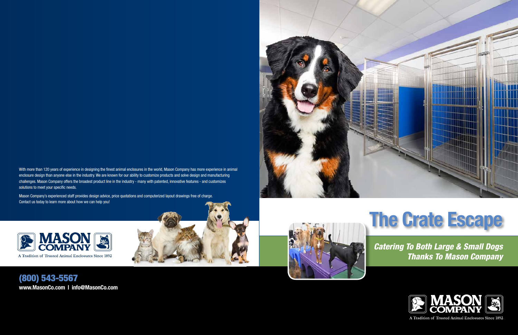## *Catering To Both Large & Small Dogs Thanks To Mason Company*



A Tradition of Trusted Animal Enclosures Since 1892



With more than 120 years of experience in designing the finest animal enclosures in the world, Mason Company has more experience in animal enclosure design than anyone else in the industry. We are known for our ability to customize products and solve design and manufacturing challenges. Mason Company offers the broadest product line in the industry - many with patented, innovative features - and customizes solutions to meet your specific needs.

Mason Company's experienced staff provides design advice, price quotations and computerized layout drawings free of charge. Contact us today to learn more about how we can help you!





(800) 543-5567 **www.MasonCo.com | info@MasonCo.com**